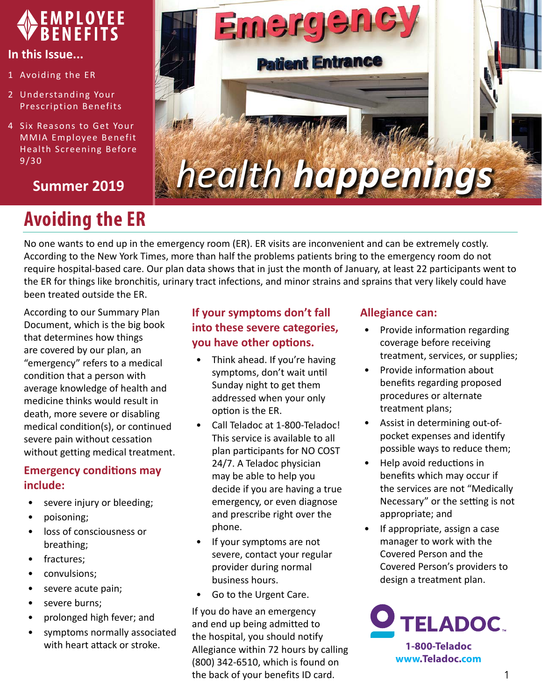

#### **In this Issue...**

- 1 Avoiding the ER
- 2 [Understanding Your](#page-1-0)  [Prescription Benefits](#page-1-0)
- 4 [Six Reasons to Get Your](#page-3-0)  [MMIA Employee Benefit](#page-3-0)  [Health Screening](#page-3-0) Before 9/30

## **Summer 2019**

# **Avoiding the ER**



No one wants to end up in the emergency room (ER). ER visits are inconvenient and can be extremely costly. According to the New York Times, more than half the problems patients bring to the emergency room do not require hospital-based care. Our plan data shows that in just the month of January, at least 22 participants went to the ER for things like bronchitis, urinary tract infections, and minor strains and sprains that very likely could have been treated outside the ER.

According to our Summary Plan Document, which is the big book that determines how things are covered by our plan, an "emergency" refers to a medical condition that a person with average knowledge of health and medicine thinks would result in death, more severe or disabling medical condition(s), or continued severe pain without cessation without getting medical treatment.

### **Emergency conditions may include:**

- severe injury or bleeding;
- poisoning;
- loss of consciousness or breathing;
- fractures;
- convulsions;
- severe acute pain;
- severe burns;
- prolonged high fever; and
- symptoms normally associated with heart attack or stroke.

## **If your symptoms don't fall into these severe categories, you have other options.**

- Think ahead. If you're having symptoms, don't wait until Sunday night to get them addressed when your only option is the ER.
- Call Teladoc at 1-800-Teladoc! This service is available to all plan participants for NO COST 24/7. A Teladoc physician may be able to help you decide if you are having a true emergency, or even diagnose and prescribe right over the phone.
- If your symptoms are not severe, contact your regular provider during normal business hours.
- Go to the Urgent Care.

If you do have an emergency and end up being admitted to the hospital, you should notify Allegiance within 72 hours by calling (800) 342-6510, which is found on the back of your benefits ID card.

#### **Allegiance can:**

- Provide information regarding coverage before receiving treatment, services, or supplies;
- Provide information about benefits regarding proposed procedures or alternate treatment plans;
- Assist in determining out-ofpocket expenses and identify possible ways to reduce them;
- Help avoid reductions in benefits which may occur if the services are not "Medically Necessary" or the setting is not appropriate; and
- If appropriate, assign a case manager to work with the Covered Person and the Covered Person's providers to design a treatment plan.

**ELADOC. 1-800-Teladoc www.Teladoc.com**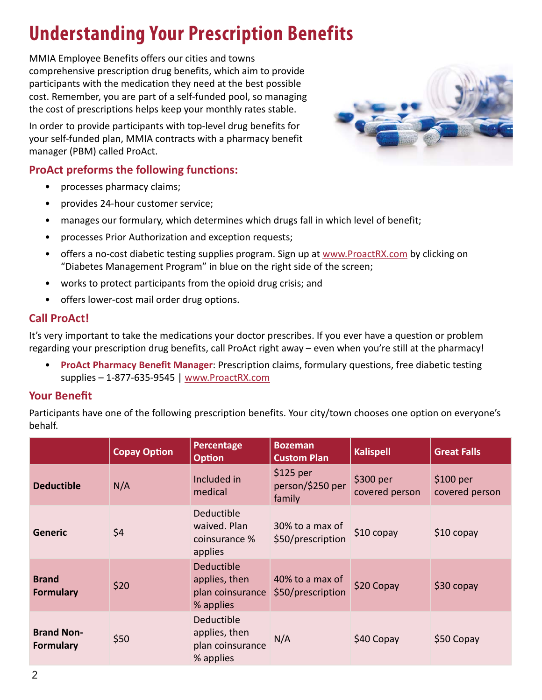# <span id="page-1-0"></span>**Understanding Your Prescription Benefits**

MMIA Employee Benefits offers our cities and towns comprehensive prescription drug benefits, which aim to provide participants with the medication they need at the best possible cost. Remember, you are part of a self-funded pool, so managing the cost of prescriptions helps keep your monthly rates stable.

In order to provide participants with top-level drug benefits for your self-funded plan, MMIA contracts with a pharmacy benefit manager (PBM) called ProAct.

## **ProAct preforms the following functions:**

- processes pharmacy claims;
- provides 24-hour customer service;
- manages our formulary, which determines which drugs fall in which level of benefit;
- processes Prior Authorization and exception requests;
- offers a no-cost diabetic testing supplies program. Sign up at [www.ProactRX.com](http://www.proactrx.com) by clicking on "Diabetes Management Program" in blue on the right side of the screen;
- works to protect participants from the opioid drug crisis; and
- offers lower-cost mail order drug options.

## **Call ProAct!**

It's very important to take the medications your doctor prescribes. If you ever have a question or problem regarding your prescription drug benefits, call ProAct right away – even when you're still at the pharmacy!

• **ProAct Pharmacy Benefit Manager**: Prescription claims, formulary questions, free diabetic testing supplies – 1-877-635-9545 | [www.ProactRX.com](http://www.ProactRX.com)

## **Your Benefit**

Participants have one of the following prescription benefits. Your city/town chooses one option on everyone's behalf.

|                                       | <b>Copay Option</b> | Percentage<br><b>Option</b>                                  | <b>Bozeman</b><br><b>Custom Plan</b>     | <b>Kalispell</b>             | <b>Great Falls</b>                    |
|---------------------------------------|---------------------|--------------------------------------------------------------|------------------------------------------|------------------------------|---------------------------------------|
| <b>Deductible</b>                     | N/A                 | Included in<br>medical                                       | $$125$ per<br>person/\$250 per<br>family | $$300$ per<br>covered person | $$100~\mathrm{per}$<br>covered person |
| <b>Generic</b>                        | \$4                 | Deductible<br>waived. Plan<br>coinsurance %<br>applies       | 30% to a max of<br>\$50/prescription     | $$10$ copay                  | $$10$ copay                           |
| <b>Brand</b><br><b>Formulary</b>      | \$20                | Deductible<br>applies, then<br>plan coinsurance<br>% applies | 40% to a max of<br>\$50/prescription     | \$20 Copay                   | $$30$ copay                           |
| <b>Brand Non-</b><br><b>Formulary</b> | \$50                | Deductible<br>applies, then<br>plan coinsurance<br>% applies | N/A                                      | \$40 Copay                   | \$50 Copay                            |

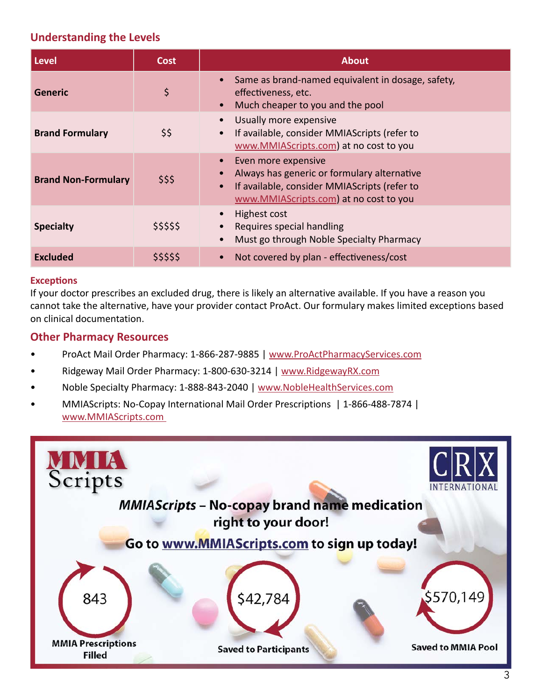#### **Understanding the Levels**

| <b>Level</b>               | <b>Cost</b> | <b>About</b>                                                                                                                                                              |  |
|----------------------------|-------------|---------------------------------------------------------------------------------------------------------------------------------------------------------------------------|--|
| <b>Generic</b>             | \$          | Same as brand-named equivalent in dosage, safety,<br>effectiveness, etc.<br>Much cheaper to you and the pool                                                              |  |
| <b>Brand Formulary</b>     | \$\$        | Usually more expensive<br>If available, consider MMIAS cripts (refer to<br>www.MMIAScripts.com) at no cost to you                                                         |  |
| <b>Brand Non-Formulary</b> | \$\$\$      | Even more expensive<br>Always has generic or formulary alternative<br>If available, consider MMIAScripts (refer to<br>$\bullet$<br>www.MMIAScripts.com) at no cost to you |  |
| <b>Specialty</b>           | \$\$\$\$\$  | Highest cost<br>Requires special handling<br>Must go through Noble Specialty Pharmacy                                                                                     |  |
| <b>Excluded</b>            | \$\$\$\$\$  | Not covered by plan - effectiveness/cost                                                                                                                                  |  |

#### **Exceptions**

If your doctor prescribes an excluded drug, there is likely an alternative available. If you have a reason you cannot take the alternative, have your provider contact ProAct. Our formulary makes limited exceptions based on clinical documentation.

#### **Other Pharmacy Resources**

- ProAct Mail Order Pharmacy: 1-866-287-9885 | [www.ProActPharmacyServices.com](http://www.ProActPharmacyServices.com)
- Ridgeway Mail Order Pharmacy: 1-800-630-3214 | [www.RidgewayRX.com](http://www.RidgewayRX.com)
- Noble Specialty Pharmacy: 1-888-843-2040 | [www.NobleHealthServices.com](http://www.NobleHealthServices.com)
- MMIAScripts: No-Copay International Mail Order Prescriptions | 1-866-488-7874 | [www.MMIAScripts.com](http://www.MMIAScripts.com )